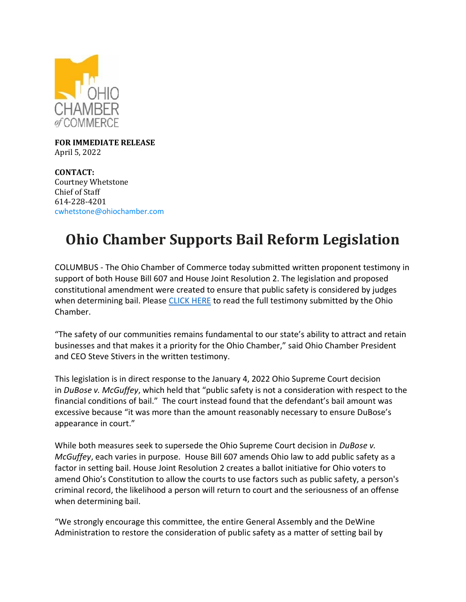

**FOR IMMEDIATE RELEASE** April 5, 2022

**CONTACT:** Courtney Whetstone Chief of Staff 614-228-4201 [cwhetstone@ohiochamber.com](mailto:cwhetstone@ohiochamber.com)

## **Ohio Chamber Supports Bail Reform Legislation**

COLUMBUS - The Ohio Chamber of Commerce today submitted written proponent testimony in support of both House Bill 607 and House Joint Resolution 2. The legislation and proposed constitutional amendment were created to ensure that public safety is considered by judges when determining bail. Please [CLICK HERE](https://ohiochamber.com/wp-content/uploads/2022/04/4.5.22-HB-607-HJR-2-proponent-testimony-Ohio-Chamber-of-Commerce.pdf) to read the full testimony submitted by the Ohio Chamber.

"The safety of our communities remains fundamental to our state's ability to attract and retain businesses and that makes it a priority for the Ohio Chamber," said Ohio Chamber President and CEO Steve Stivers in the written testimony.

This legislation is in direct response to the January 4, 2022 Ohio Supreme Court decision in *DuBose v. McGuffey*, which held that "public safety is not a consideration with respect to the financial conditions of bail." The court instead found that the defendant's bail amount was excessive because "it was more than the amount reasonably necessary to ensure DuBose's appearance in court."

While both measures seek to supersede the Ohio Supreme Court decision in *DuBose v. McGuffey*, each varies in purpose. House Bill 607 amends Ohio law to add public safety as a factor in setting bail. House Joint Resolution 2 creates a ballot initiative for Ohio voters to amend Ohio's Constitution to allow the courts to use factors such as public safety, a person's criminal record, the likelihood a person will return to court and the seriousness of an offense when determining bail.

"We strongly encourage this committee, the entire General Assembly and the DeWine Administration to restore the consideration of public safety as a matter of setting bail by